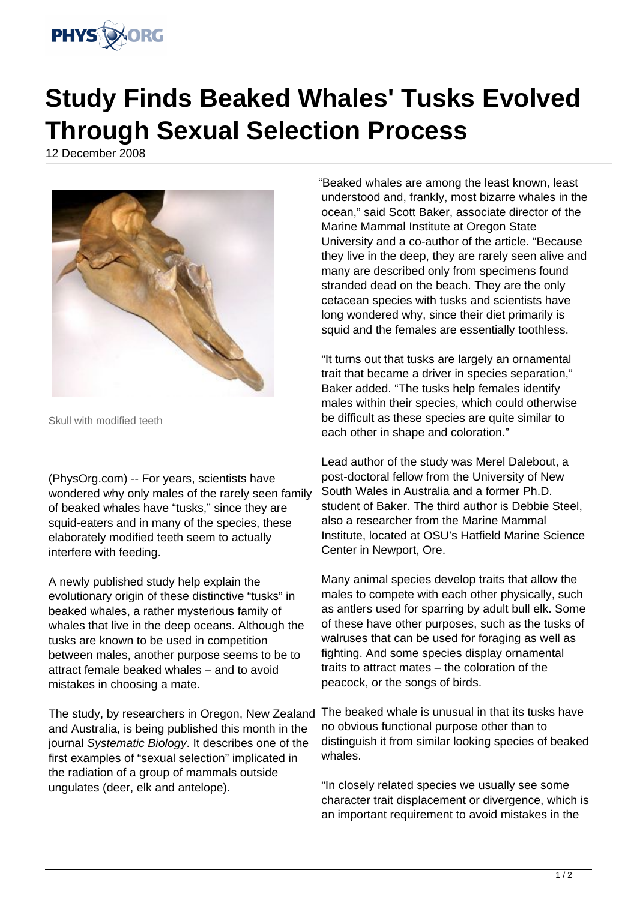

## **Study Finds Beaked Whales' Tusks Evolved Through Sexual Selection Process**

12 December 2008



Skull with modified teeth

(PhysOrg.com) -- For years, scientists have wondered why only males of the rarely seen family of beaked whales have "tusks," since they are squid-eaters and in many of the species, these elaborately modified teeth seem to actually interfere with feeding.

A newly published study help explain the evolutionary origin of these distinctive "tusks" in beaked whales, a rather mysterious family of whales that live in the deep oceans. Although the tusks are known to be used in competition between males, another purpose seems to be to attract female beaked whales – and to avoid mistakes in choosing a mate.

The study, by researchers in Oregon, New Zealand The beaked whale is unusual in that its tusks have and Australia, is being published this month in the journal Systematic Biology. It describes one of the first examples of "sexual selection" implicated in the radiation of a group of mammals outside ungulates (deer, elk and antelope).

"Beaked whales are among the least known, least understood and, frankly, most bizarre whales in the ocean," said Scott Baker, associate director of the Marine Mammal Institute at Oregon State University and a co-author of the article. "Because they live in the deep, they are rarely seen alive and many are described only from specimens found stranded dead on the beach. They are the only cetacean species with tusks and scientists have long wondered why, since their diet primarily is squid and the females are essentially toothless.

"It turns out that tusks are largely an ornamental trait that became a driver in species separation," Baker added. "The tusks help females identify males within their species, which could otherwise be difficult as these species are quite similar to each other in shape and coloration."

Lead author of the study was Merel Dalebout, a post-doctoral fellow from the University of New South Wales in Australia and a former Ph.D. student of Baker. The third author is Debbie Steel, also a researcher from the Marine Mammal Institute, located at OSU's Hatfield Marine Science Center in Newport, Ore.

Many animal species develop traits that allow the males to compete with each other physically, such as antlers used for sparring by adult bull elk. Some of these have other purposes, such as the tusks of walruses that can be used for foraging as well as fighting. And some species display ornamental traits to attract mates – the coloration of the peacock, or the songs of birds.

no obvious functional purpose other than to distinguish it from similar looking species of beaked whales.

"In closely related species we usually see some character trait displacement or divergence, which is an important requirement to avoid mistakes in the